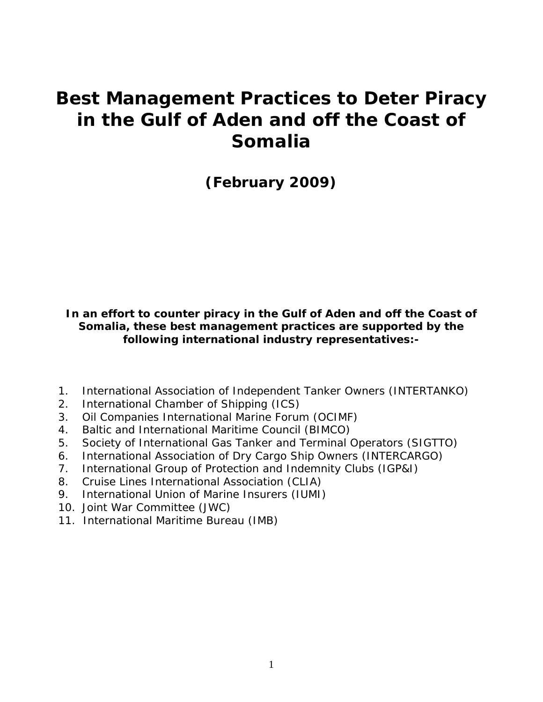# **Best Management Practices to Deter Piracy in the Gulf of Aden and off the Coast of Somalia**

**(February 2009)** 

## **In an effort to counter piracy in the Gulf of Aden and off the Coast of Somalia, these best management practices are supported by the following international industry representatives:-**

- 1. International Association of Independent Tanker Owners (INTERTANKO)
- 2. International Chamber of Shipping (ICS)
- 3. Oil Companies International Marine Forum (OCIMF)
- 4. Baltic and International Maritime Council (BIMCO)
- 5. Society of International Gas Tanker and Terminal Operators (SIGTTO)
- 6. International Association of Dry Cargo Ship Owners (INTERCARGO)
- 7. International Group of Protection and Indemnity Clubs (IGP&I)
- 8. Cruise Lines International Association (CLIA)
- 9. International Union of Marine Insurers (IUMI)
- 10. Joint War Committee (JWC)
- 11. International Maritime Bureau (IMB)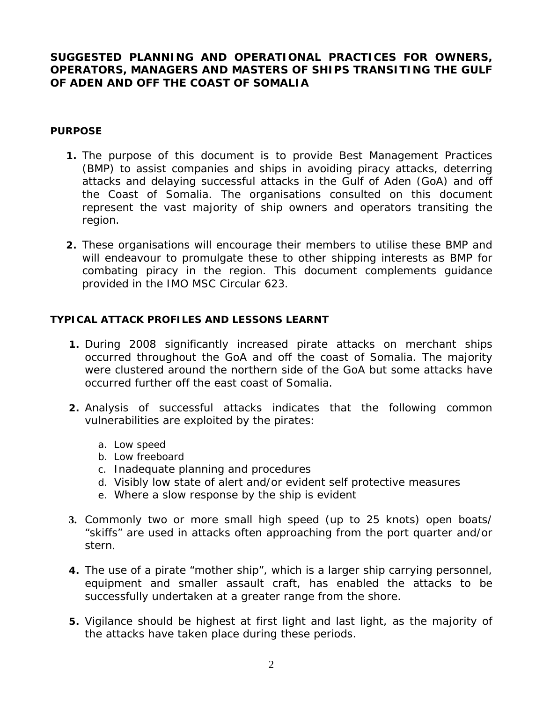## **SUGGESTED PLANNING AND OPERATIONAL PRACTICES FOR OWNERS, OPERATORS, MANAGERS AND MASTERS OF SHIPS TRANSITING THE GULF OF ADEN AND OFF THE COAST OF SOMALIA**

#### **PURPOSE**

- **1.** The purpose of this document is to provide Best Management Practices (BMP) to assist companies and ships in avoiding piracy attacks, deterring attacks and delaying successful attacks in the Gulf of Aden (GoA) and off the Coast of Somalia. The organisations consulted on this document represent the vast majority of ship owners and operators transiting the region.
- **2.** These organisations will encourage their members to utilise these BMP and will endeavour to promulgate these to other shipping interests as BMP for combating piracy in the region. This document complements guidance provided in the IMO MSC Circular 623.

#### **TYPICAL ATTACK PROFILES AND LESSONS LEARNT**

- **1.** During 2008 significantly increased pirate attacks on merchant ships occurred throughout the GoA and off the coast of Somalia. The majority were clustered around the northern side of the GoA but some attacks have occurred further off the east coast of Somalia.
- **2.** Analysis of successful attacks indicates that the following common vulnerabilities are exploited by the pirates:
	- a. Low speed
	- b. Low freeboard
	- c. Inadequate planning and procedures
	- d. Visibly low state of alert and/or evident self protective measures
	- e. Where a slow response by the ship is evident
- **3.** Commonly two or more small high speed (up to 25 knots) open boats/ "skiffs" are used in attacks often approaching from the port quarter and/or stern.
- **4.** The use of a pirate "mother ship", which is a larger ship carrying personnel, equipment and smaller assault craft, has enabled the attacks to be successfully undertaken at a greater range from the shore.
- **5.** Vigilance should be highest at first light and last light, as the majority of the attacks have taken place during these periods.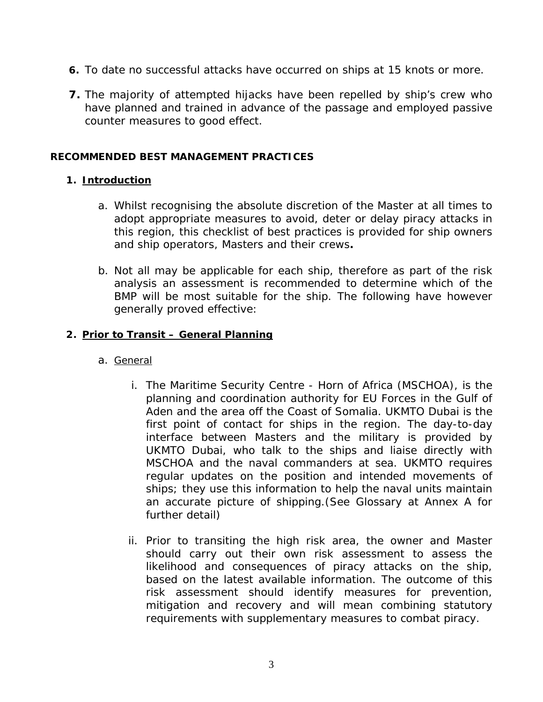- **6.** To date no successful attacks have occurred on ships at 15 knots or more.
- **7.** The majority of attempted hijacks have been repelled by ship's crew who have planned and trained in advance of the passage and employed passive counter measures to good effect.

#### **RECOMMENDED BEST MANAGEMENT PRACTICES**

#### **1. Introduction**

- a. Whilst recognising the absolute discretion of the Master at all times to adopt appropriate measures to avoid, deter or delay piracy attacks in this region, this checklist of best practices is provided for ship owners and ship operators, Masters and their crews**.**
- b. Not all may be applicable for each ship, therefore as part of the risk analysis an assessment is recommended to determine which of the BMP will be most suitable for the ship. The following have however generally proved effective:

#### **2. Prior to Transit – General Planning**

- a. General
	- i. The Maritime Security Centre Horn of Africa (MSCHOA), is the planning and coordination authority for EU Forces in the Gulf of Aden and the area off the Coast of Somalia. UKMTO Dubai is the first point of contact for ships in the region. The day-to-day interface between Masters and the military is provided by UKMTO Dubai, who talk to the ships and liaise directly with MSCHOA and the naval commanders at sea. UKMTO requires regular updates on the position and intended movements of ships; they use this information to help the naval units maintain an accurate picture of shipping.(See Glossary at Annex A for further detail)
	- ii. Prior to transiting the high risk area, the owner and Master should carry out their own risk assessment to assess the likelihood and consequences of piracy attacks on the ship, based on the latest available information. The outcome of this risk assessment should identify measures for prevention, mitigation and recovery and will mean combining statutory requirements with supplementary measures to combat piracy.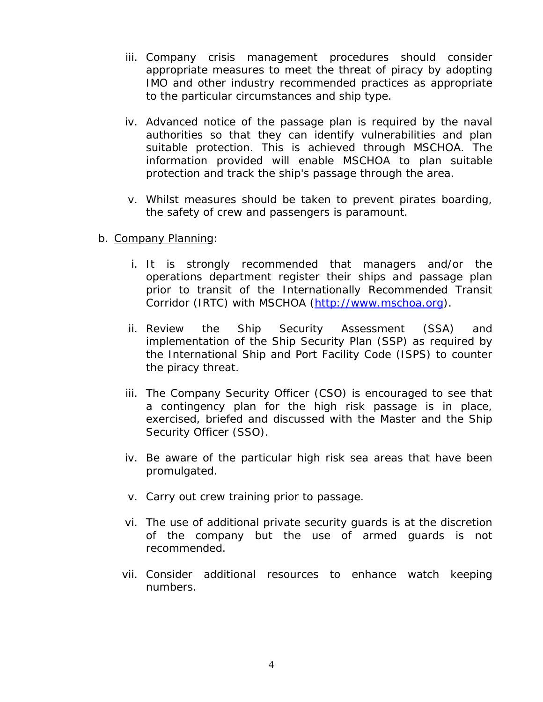- iii. Company crisis management procedures should consider appropriate measures to meet the threat of piracy by adopting IMO and other industry recommended practices as appropriate to the particular circumstances and ship type.
- iv. Advanced notice of the passage plan is required by the naval authorities so that they can identify vulnerabilities and plan suitable protection. This is achieved through MSCHOA. The information provided will enable MSCHOA to plan suitable protection and track the ship's passage through the area.
- v. Whilst measures should be taken to prevent pirates boarding, the safety of crew and passengers is paramount.
- b. Company Planning:
	- i. It is strongly recommended that managers and/or the operations department register their ships and passage plan prior to transit of the Internationally Recommended Transit Corridor (IRTC) with MSCHOA ([http://www.mschoa.org](http://www.mschoa.org/)).
	- ii. Review the Ship Security Assessment (SSA) and implementation of the Ship Security Plan (SSP) as required by the International Ship and Port Facility Code (ISPS) to counter the piracy threat.
	- iii. The Company Security Officer (CSO) is encouraged to see that a contingency plan for the high risk passage is in place, exercised, briefed and discussed with the Master and the Ship Security Officer (SSO).
	- iv. Be aware of the particular high risk sea areas that have been promulgated.
	- v. Carry out crew training prior to passage.
	- vi. The use of additional private security guards is at the discretion of the company but the use of armed guards is not recommended.
	- vii. Consider additional resources to enhance watch keeping numbers.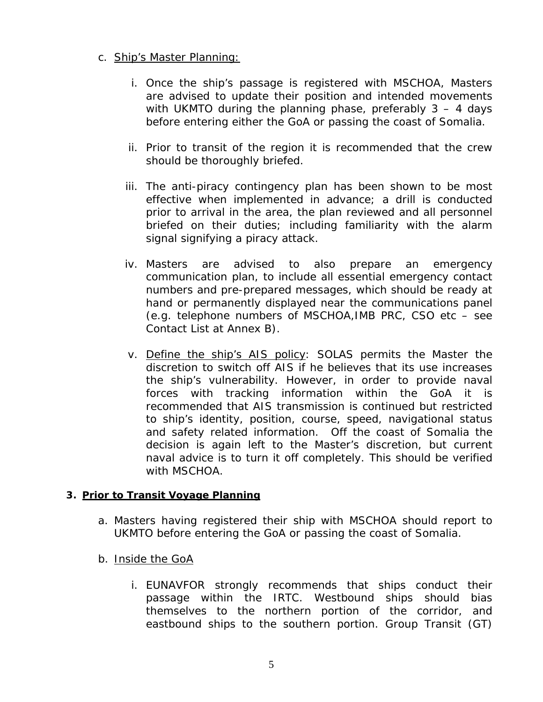## c. Ship's Master Planning:

- i. Once the ship's passage is registered with MSCHOA, Masters are advised to update their position and intended movements with UKMTO during the planning phase, preferably 3 – 4 days before entering either the GoA or passing the coast of Somalia.
- ii. Prior to transit of the region it is recommended that the crew should be thoroughly briefed.
- iii. The anti-piracy contingency plan has been shown to be most effective when implemented in advance; a drill is conducted prior to arrival in the area, the plan reviewed and all personnel briefed on their duties; including familiarity with the alarm signal signifying a piracy attack.
- iv. Masters are advised to also prepare an emergency communication plan, to include all essential emergency contact numbers and pre-prepared messages, which should be ready at hand or permanently displayed near the communications panel (e.g. telephone numbers of MSCHOA,IMB PRC, CSO etc – see Contact List at Annex B).
- v. Define the ship's AIS policy: SOLAS permits the Master the discretion to switch off AIS if he believes that its use increases the ship's vulnerability. However, in order to provide naval forces with tracking information within the GoA it is recommended that AIS transmission is continued but restricted to ship's identity, position, course, speed, navigational status and safety related information. Off the coast of Somalia the decision is again left to the Master's discretion, but current naval advice is to turn it off completely. This should be verified with MSCHOA.

#### **3. Prior to Transit Voyage Planning**

- a. Masters having registered their ship with MSCHOA should report to UKMTO before entering the GoA or passing the coast of Somalia.
- b. Inside the GoA
	- i. EUNAVFOR strongly recommends that ships conduct their passage within the IRTC. Westbound ships should bias themselves to the northern portion of the corridor, and eastbound ships to the southern portion. Group Transit (GT)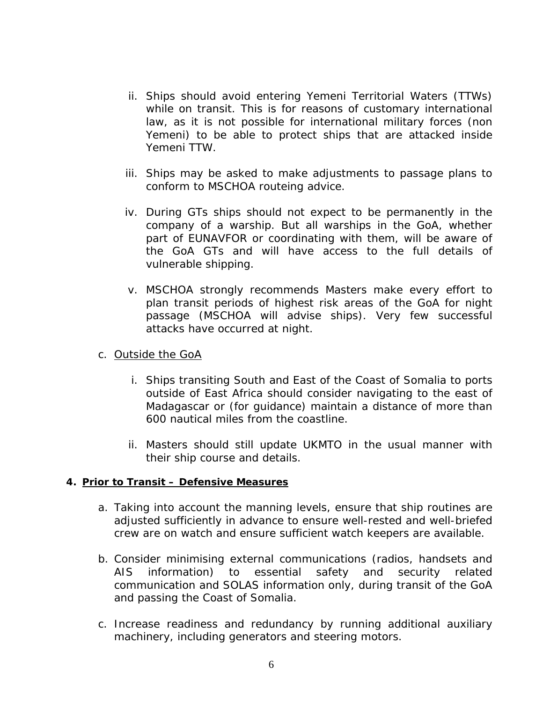- ii. Ships should avoid entering Yemeni Territorial Waters (TTWs) while on transit. This is for reasons of customary international law, as it is not possible for international military forces (non Yemeni) to be able to protect ships that are attacked inside Yemeni TTW.
- iii. Ships may be asked to make adjustments to passage plans to conform to MSCHOA routeing advice.
- iv. During GTs ships should not expect to be permanently in the company of a warship. But all warships in the GoA, whether part of EUNAVFOR or coordinating with them, will be aware of the GoA GTs and will have access to the full details of vulnerable shipping.
- v. MSCHOA strongly recommends Masters make every effort to plan transit periods of highest risk areas of the GoA for night passage (MSCHOA will advise ships). Very few successful attacks have occurred at night.
- c. Outside the GoA
	- i. Ships transiting South and East of the Coast of Somalia to ports outside of East Africa should consider navigating to the east of Madagascar or (for guidance) maintain a distance of more than 600 nautical miles from the coastline.
	- ii. Masters should still update UKMTO in the usual manner with their ship course and details.

#### **4. Prior to Transit – Defensive Measures**

- a. Taking into account the manning levels, ensure that ship routines are adjusted sufficiently in advance to ensure well-rested and well-briefed crew are on watch and ensure sufficient watch keepers are available.
- b. Consider minimising external communications (radios, handsets and AIS information) to essential safety and security related communication and SOLAS information only, during transit of the GoA and passing the Coast of Somalia.
- c. Increase readiness and redundancy by running additional auxiliary machinery, including generators and steering motors.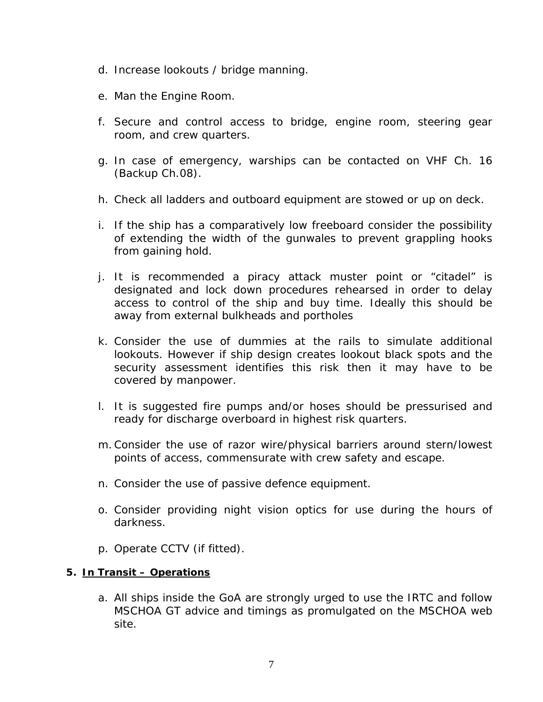- d. Increase lookouts / bridge manning.
- e. Man the Engine Room.
- f. Secure and control access to bridge, engine room, steering gear room, and crew quarters.
- g. In case of emergency, warships can be contacted on VHF Ch. 16 (Backup Ch.08).
- h. Check all ladders and outboard equipment are stowed or up on deck.
- i. If the ship has a comparatively low freeboard consider the possibility of extending the width of the gunwales to prevent grappling hooks from gaining hold.
- j. It is recommended a piracy attack muster point or "citadel" is designated and lock down procedures rehearsed in order to delay access to control of the ship and buy time. Ideally this should be away from external bulkheads and portholes
- k. Consider the use of dummies at the rails to simulate additional lookouts. However if ship design creates lookout black spots and the security assessment identifies this risk then it may have to be covered by manpower.
- l. It is suggested fire pumps and/or hoses should be pressurised and ready for discharge overboard in highest risk quarters.
- m.Consider the use of razor wire/physical barriers around stern/lowest points of access, commensurate with crew safety and escape.
- n. Consider the use of passive defence equipment.
- o. Consider providing night vision optics for use during the hours of darkness.
- p. Operate CCTV (if fitted).

#### **5. In Transit – Operations**

a. All ships inside the GoA are strongly urged to use the IRTC and follow MSCHOA GT advice and timings as promulgated on the MSCHOA web site.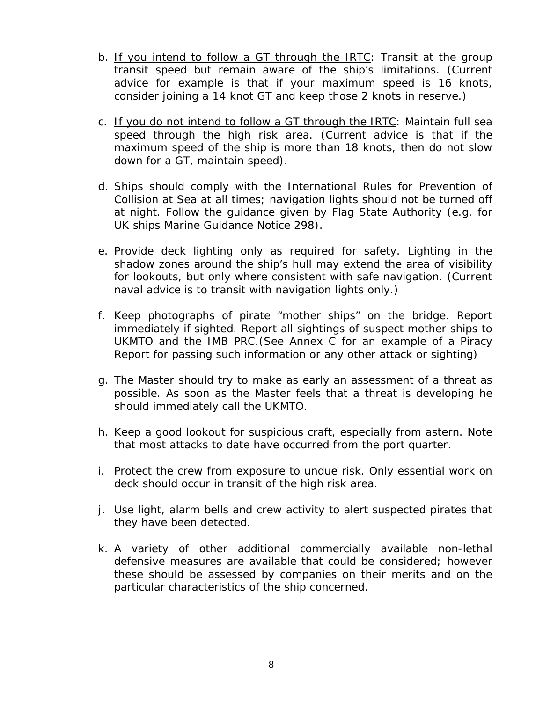- b. If you intend to follow a GT through the IRTC: Transit at the group transit speed but remain aware of the ship's limitations. (Current advice for example is that if your maximum speed is 16 knots, consider joining a 14 knot GT and keep those 2 knots in reserve.)
- c. If you do not intend to follow a GT through the IRTC: Maintain full sea speed through the high risk area. (Current advice is that if the maximum speed of the ship is more than 18 knots, then do not slow down for a GT, maintain speed).
- d. Ships should comply with the International Rules for Prevention of Collision at Sea at all times; navigation lights should not be turned off at night. Follow the guidance given by Flag State Authority (e.g. for UK ships Marine Guidance Notice 298).
- e. Provide deck lighting only as required for safety. Lighting in the shadow zones around the ship's hull may extend the area of visibility for lookouts, but only where consistent with safe navigation. (Current naval advice is to transit with navigation lights only.)
- f. Keep photographs of pirate "mother ships" on the bridge. Report immediately if sighted. Report all sightings of suspect mother ships to UKMTO and the IMB PRC.(See Annex C for an example of a Piracy Report for passing such information or any other attack or sighting)
- g. The Master should try to make as early an assessment of a threat as possible. As soon as the Master feels that a threat is developing he should immediately call the UKMTO.
- h. Keep a good lookout for suspicious craft, especially from astern. Note that most attacks to date have occurred from the port quarter.
- i. Protect the crew from exposure to undue risk. Only essential work on deck should occur in transit of the high risk area.
- j. Use light, alarm bells and crew activity to alert suspected pirates that they have been detected.
- k. A variety of other additional commercially available non-lethal defensive measures are available that could be considered; however these should be assessed by companies on their merits and on the particular characteristics of the ship concerned.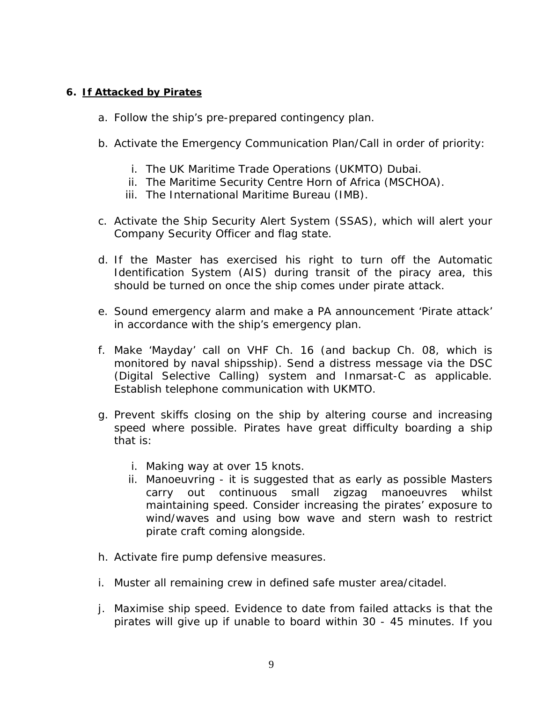## **6. If Attacked by Pirates**

- a. Follow the ship's pre-prepared contingency plan.
- b. Activate the Emergency Communication Plan/Call in order of priority:
	- i. The UK Maritime Trade Operations (UKMTO) Dubai.
	- ii. The Maritime Security Centre Horn of Africa (MSCHOA).
	- iii. The International Maritime Bureau (IMB).
- c. Activate the Ship Security Alert System (SSAS), which will alert your Company Security Officer and flag state.
- d. If the Master has exercised his right to turn off the Automatic Identification System (AIS) during transit of the piracy area, this should be turned on once the ship comes under pirate attack.
- e. Sound emergency alarm and make a PA announcement 'Pirate attack' in accordance with the ship's emergency plan.
- f. Make 'Mayday' call on VHF Ch. 16 (and backup Ch. 08, which is monitored by naval shipsship). Send a distress message via the DSC (Digital Selective Calling) system and Inmarsat-C as applicable. Establish telephone communication with UKMTO.
- g. Prevent skiffs closing on the ship by altering course and increasing speed where possible. Pirates have great difficulty boarding a ship that is:
	- i. Making way at over 15 knots.
	- ii. Manoeuvring it is suggested that as early as possible Masters carry out continuous small zigzag manoeuvres whilst maintaining speed. Consider increasing the pirates' exposure to wind/waves and using bow wave and stern wash to restrict pirate craft coming alongside.
- h. Activate fire pump defensive measures.
- i. Muster all remaining crew in defined safe muster area/citadel.
- j. Maximise ship speed. Evidence to date from failed attacks is that the pirates will give up if unable to board within 30 - 45 minutes. If you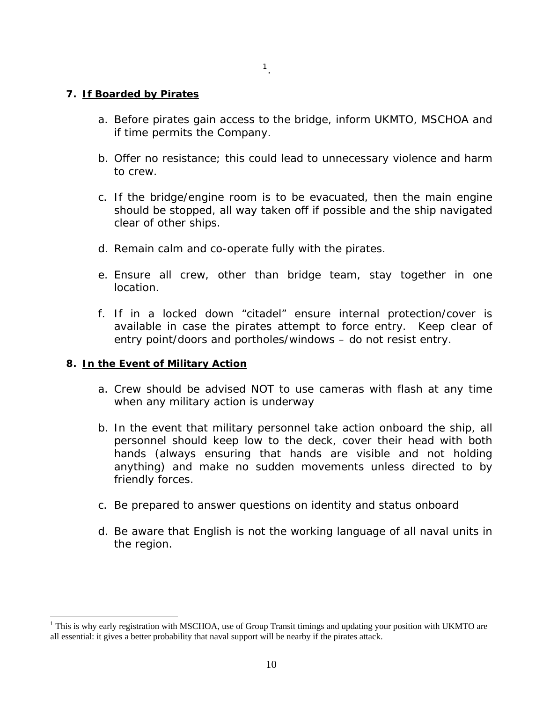#### **7. If Boarded by Pirates**

- a. Before pirates gain access to the bridge, inform UKMTO, MSCHOA and if time permits the Company.
- b. Offer no resistance; this could lead to unnecessary violence and harm to crew.
- c. If the bridge/engine room is to be evacuated, then the main engine should be stopped, all way taken off if possible and the ship navigated clear of other ships.
- d. Remain calm and co-operate fully with the pirates.
- e. Ensure all crew, other than bridge team, stay together in one location.
- f. If in a locked down "citadel" ensure internal protection/cover is available in case the pirates attempt to force entry. Keep clear of entry point/doors and portholes/windows – do not resist entry.

#### **8. In the Event of Military Action**

 $\overline{a}$ 

- a. Crew should be advised NOT to use cameras with flash at any time when any military action is underway
- b. In the event that military personnel take action onboard the ship, all personnel should keep low to the deck, cover their head with both hands (always ensuring that hands are visible and not holding anything) and make no sudden movements unless directed to by friendly forces.
- c. Be prepared to answer questions on identity and status onboard
- d. Be aware that English is not the working language of all naval units in the region.

<sup>&</sup>lt;sup>1</sup> This is why early registration with MSCHOA, use of Group Transit timings and updating your position with UKMTO are all essential: it gives a better probability that naval support will be nearby if the pirates attack.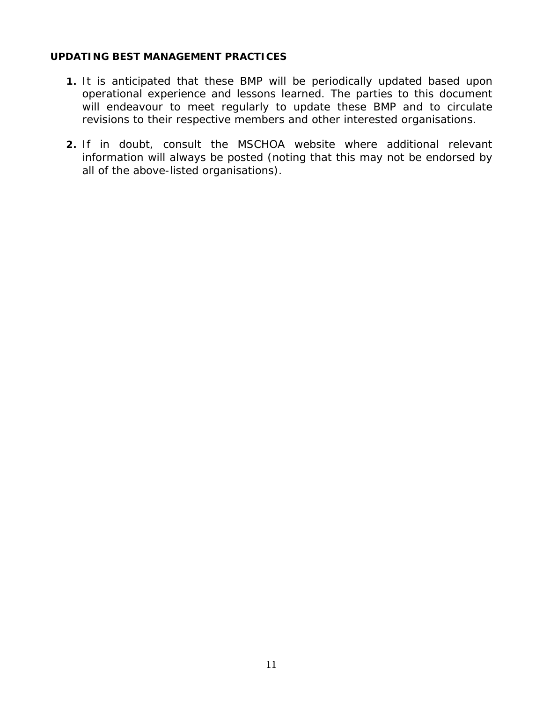#### **UPDATING BEST MANAGEMENT PRACTICES**

- **1.** It is anticipated that these BMP will be periodically updated based upon operational experience and lessons learned. The parties to this document will endeavour to meet regularly to update these BMP and to circulate revisions to their respective members and other interested organisations.
- **2.** If in doubt, consult the MSCHOA website where additional relevant information will always be posted (noting that this may not be endorsed by all of the above-listed organisations).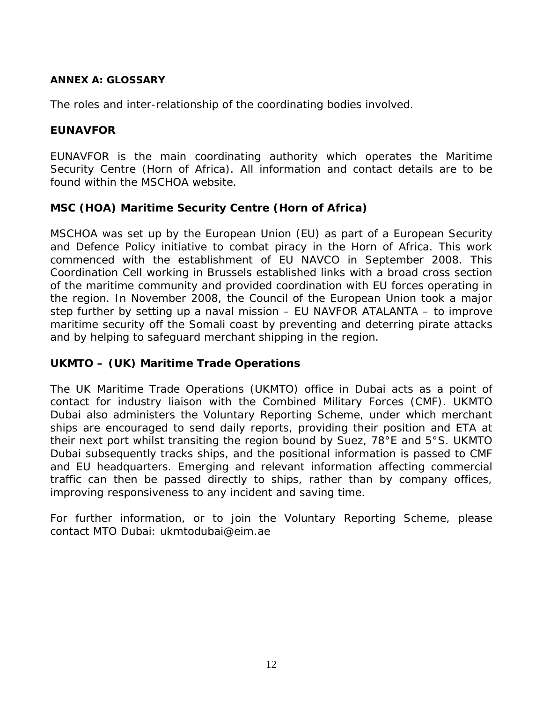## **ANNEX A: GLOSSARY**

The roles and inter-relationship of the coordinating bodies involved.

# **EUNAVFOR**

EUNAVFOR is the main coordinating authority which operates the Maritime Security Centre (Horn of Africa). All information and contact details are to be found within the MSCHOA website.

# **MSC (HOA) Maritime Security Centre (Horn of Africa)**

MSCHOA was set up by the European Union (EU) as part of a European Security and Defence Policy initiative to combat piracy in the Horn of Africa. This work commenced with the establishment of EU NAVCO in September 2008. This Coordination Cell working in Brussels established links with a broad cross section of the maritime community and provided coordination with EU forces operating in the region. In November 2008, the Council of the European Union took a major step further by setting up a naval mission – EU NAVFOR ATALANTA – to improve maritime security off the Somali coast by preventing and deterring pirate attacks and by helping to safeguard merchant shipping in the region.

# **UKMTO – (UK) Maritime Trade Operations**

The UK Maritime Trade Operations (UKMTO) office in Dubai acts as a point of contact for industry liaison with the Combined Military Forces (CMF). UKMTO Dubai also administers the Voluntary Reporting Scheme, under which merchant ships are encouraged to send daily reports, providing their position and ETA at their next port whilst transiting the region bound by Suez, 78°E and 5°S. UKMTO Dubai subsequently tracks ships, and the positional information is passed to CMF and EU headquarters. Emerging and relevant information affecting commercial traffic can then be passed directly to ships, rather than by company offices, improving responsiveness to any incident and saving time.

For further information, or to join the Voluntary Reporting Scheme, please contact MTO Dubai: ukmtodubai@eim.ae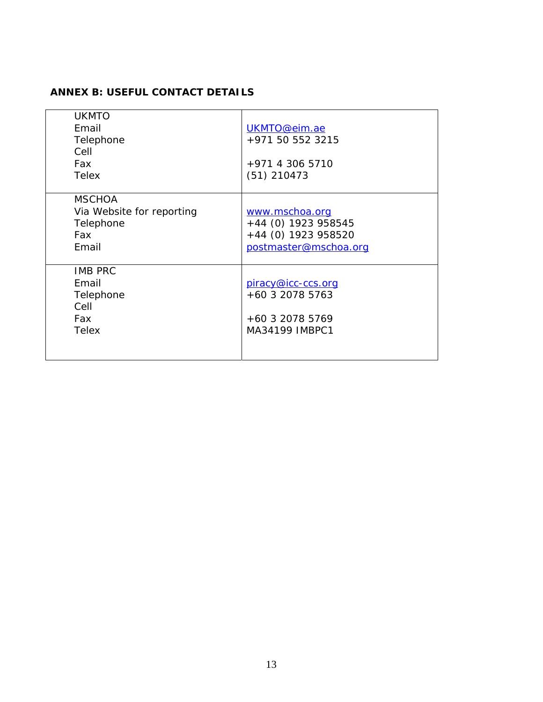# **ANNEX B: USEFUL CONTACT DETAILS**

| <b>UKMTO</b>              |                       |
|---------------------------|-----------------------|
| Email                     | UKMTO@eim.ae          |
| Telephone                 | +971 50 552 3215      |
| Cell                      |                       |
| Fax                       | +971 4 306 5710       |
| <b>Telex</b>              | $(51)$ 210473         |
|                           |                       |
| <b>MSCHOA</b>             |                       |
| Via Website for reporting | www.mschoa.org        |
| Telephone                 | +44 (0) 1923 958545   |
| Fax                       | +44 (0) 1923 958520   |
| Email                     | postmaster@mschoa.org |
|                           |                       |
| <b>IMB PRC</b>            |                       |
| Email                     | piracy@icc-ccs.org    |
| Telephone                 | +60 3 2078 5763       |
| Cell                      |                       |
| Fax                       | +60 3 2078 5769       |
| <b>Telex</b>              | MA34199 IMBPC1        |
|                           |                       |
|                           |                       |
|                           |                       |